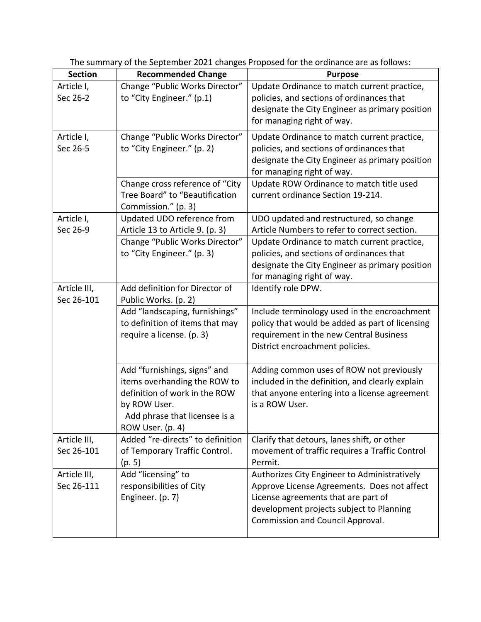| <b>Section</b>             | <b>Recommended Change</b>                                                                                                                                          | <b>Purpose</b>                                                                                                                                                                                                            |
|----------------------------|--------------------------------------------------------------------------------------------------------------------------------------------------------------------|---------------------------------------------------------------------------------------------------------------------------------------------------------------------------------------------------------------------------|
| Article I,<br>Sec 26-2     | Change "Public Works Director"<br>to "City Engineer." (p.1)                                                                                                        | Update Ordinance to match current practice,<br>policies, and sections of ordinances that<br>designate the City Engineer as primary position<br>for managing right of way.                                                 |
| Article I,<br>Sec 26-5     | Change "Public Works Director"<br>to "City Engineer." (p. 2)                                                                                                       | Update Ordinance to match current practice,<br>policies, and sections of ordinances that<br>designate the City Engineer as primary position<br>for managing right of way.                                                 |
|                            | Change cross reference of "City<br>Tree Board" to "Beautification<br>Commission." (p. 3)                                                                           | Update ROW Ordinance to match title used<br>current ordinance Section 19-214.                                                                                                                                             |
| Article I,<br>Sec 26-9     | Updated UDO reference from<br>Article 13 to Article 9. (p. 3)                                                                                                      | UDO updated and restructured, so change<br>Article Numbers to refer to correct section.                                                                                                                                   |
|                            | Change "Public Works Director"<br>to "City Engineer." (p. 3)                                                                                                       | Update Ordinance to match current practice,<br>policies, and sections of ordinances that<br>designate the City Engineer as primary position<br>for managing right of way.                                                 |
| Article III,<br>Sec 26-101 | Add definition for Director of<br>Public Works. (p. 2)                                                                                                             | Identify role DPW.                                                                                                                                                                                                        |
|                            | Add "landscaping, furnishings"<br>to definition of items that may<br>require a license. (p. 3)                                                                     | Include terminology used in the encroachment<br>policy that would be added as part of licensing<br>requirement in the new Central Business<br>District encroachment policies.                                             |
|                            | Add "furnishings, signs" and<br>items overhanding the ROW to<br>definition of work in the ROW<br>by ROW User.<br>Add phrase that licensee is a<br>ROW User. (p. 4) | Adding common uses of ROW not previously<br>included in the definition, and clearly explain<br>that anyone entering into a license agreement<br>is a ROW User.                                                            |
| Article III,<br>Sec 26-101 | Added "re-directs" to definition<br>of Temporary Traffic Control.<br>(p. 5)                                                                                        | Clarify that detours, lanes shift, or other<br>movement of traffic requires a Traffic Control<br>Permit.                                                                                                                  |
| Article III,<br>Sec 26-111 | Add "licensing" to<br>responsibilities of City<br>Engineer. (p. 7)                                                                                                 | Authorizes City Engineer to Administratively<br>Approve License Agreements. Does not affect<br>License agreements that are part of<br>development projects subject to Planning<br><b>Commission and Council Approval.</b> |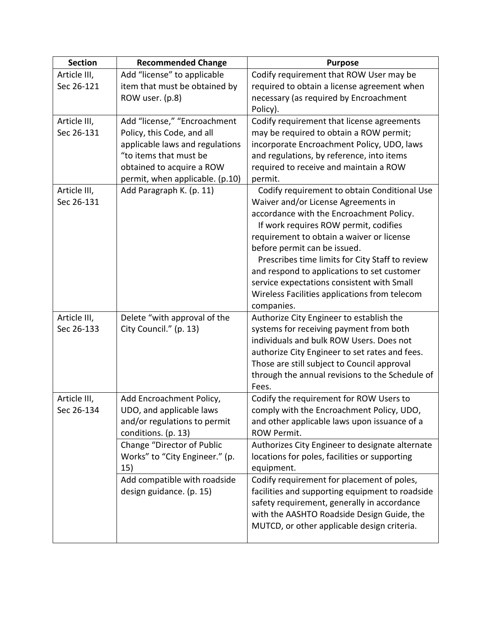| <b>Section</b>             | <b>Recommended Change</b>       | <b>Purpose</b>                                                                                 |
|----------------------------|---------------------------------|------------------------------------------------------------------------------------------------|
| Article III,               | Add "license" to applicable     | Codify requirement that ROW User may be                                                        |
| Sec 26-121                 | item that must be obtained by   | required to obtain a license agreement when                                                    |
|                            | ROW user. (p.8)                 | necessary (as required by Encroachment                                                         |
|                            |                                 | Policy).                                                                                       |
| Article III,               | Add "license," "Encroachment    | Codify requirement that license agreements                                                     |
| Sec 26-131                 | Policy, this Code, and all      | may be required to obtain a ROW permit;                                                        |
|                            | applicable laws and regulations | incorporate Encroachment Policy, UDO, laws                                                     |
|                            | "to items that must be          | and regulations, by reference, into items                                                      |
|                            | obtained to acquire a ROW       | required to receive and maintain a ROW                                                         |
|                            | permit, when applicable. (p.10) | permit.                                                                                        |
| Article III,               | Add Paragraph K. (p. 11)        | Codify requirement to obtain Conditional Use                                                   |
| Sec 26-131                 |                                 | Waiver and/or License Agreements in                                                            |
|                            |                                 | accordance with the Encroachment Policy.                                                       |
|                            |                                 | If work requires ROW permit, codifies                                                          |
|                            |                                 | requirement to obtain a waiver or license                                                      |
|                            |                                 | before permit can be issued.                                                                   |
|                            |                                 | Prescribes time limits for City Staff to review                                                |
|                            |                                 | and respond to applications to set customer                                                    |
|                            |                                 | service expectations consistent with Small                                                     |
|                            |                                 | Wireless Facilities applications from telecom                                                  |
|                            |                                 | companies.                                                                                     |
| Article III,<br>Sec 26-133 | Delete "with approval of the    | Authorize City Engineer to establish the                                                       |
|                            | City Council." (p. 13)          | systems for receiving payment from both<br>individuals and bulk ROW Users. Does not            |
|                            |                                 |                                                                                                |
|                            |                                 | authorize City Engineer to set rates and fees.                                                 |
|                            |                                 | Those are still subject to Council approval<br>through the annual revisions to the Schedule of |
|                            |                                 | Fees.                                                                                          |
| Article III,               | Add Encroachment Policy,        | Codify the requirement for ROW Users to                                                        |
| Sec 26-134                 | UDO, and applicable laws        | comply with the Encroachment Policy, UDO,                                                      |
|                            | and/or regulations to permit    | and other applicable laws upon issuance of a                                                   |
|                            | conditions. (p. 13)             | <b>ROW Permit.</b>                                                                             |
|                            | Change "Director of Public      | Authorizes City Engineer to designate alternate                                                |
|                            | Works" to "City Engineer." (p.  | locations for poles, facilities or supporting                                                  |
|                            | 15)                             | equipment.                                                                                     |
|                            | Add compatible with roadside    | Codify requirement for placement of poles,                                                     |
|                            | design guidance. (p. 15)        | facilities and supporting equipment to roadside                                                |
|                            |                                 | safety requirement, generally in accordance                                                    |
|                            |                                 | with the AASHTO Roadside Design Guide, the                                                     |
|                            |                                 | MUTCD, or other applicable design criteria.                                                    |
|                            |                                 |                                                                                                |